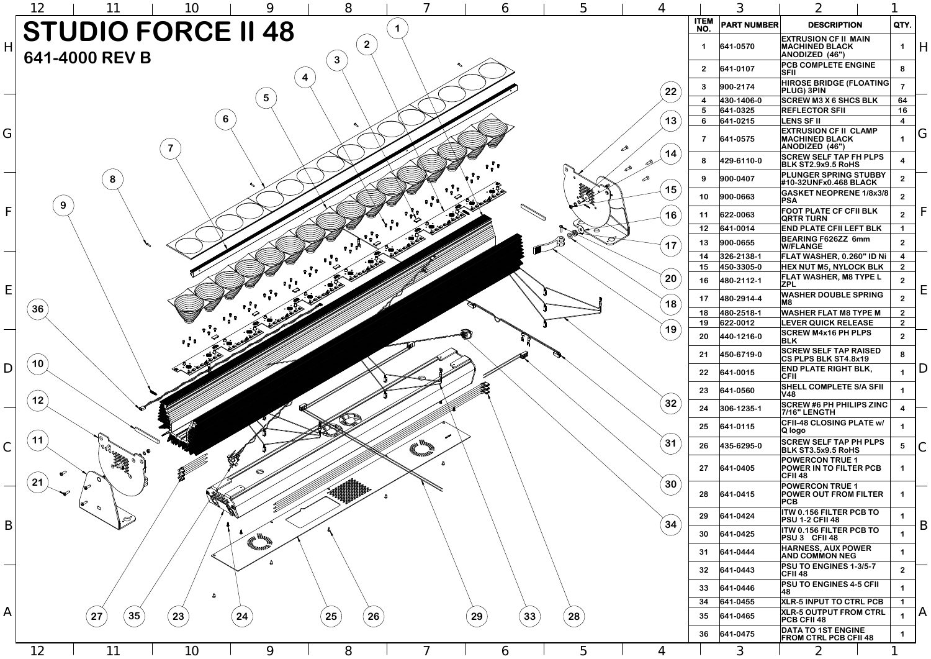| 6      | 5                        | $\overline{4}$                       | 3                       |                      | $\overline{2}$                                                                                      |                              |                |
|--------|--------------------------|--------------------------------------|-------------------------|----------------------|-----------------------------------------------------------------------------------------------------|------------------------------|----------------|
|        |                          |                                      | <b>ITEM</b><br>NO.      | <b>PART NUMBER</b>   | <b>DESCRIPTION</b>                                                                                  | QTY.                         |                |
|        |                          |                                      | 1                       | 641-0570             | <b>EXTRUSION CF II MAIN</b><br><b>MACHINED BLACK</b><br><b>ANODIZED (46")</b>                       | 1                            | H              |
|        |                          |                                      | $\overline{2}$          | 641-0107             | <b>PCB COMPLETE ENGINE</b><br><b>SFII</b>                                                           | 8                            |                |
|        |                          | 22                                   | $\mathbf{3}$            | 900-2174             | <b>HIROSE BRIDGE (FLOATING)</b><br><b>PLUG) 3PIN</b>                                                | $\overline{\mathbf{7}}$      |                |
|        |                          |                                      | $\overline{\mathbf{4}}$ | 430-1406-0           | <b>SCREW M3 X 6 SHCS BLK</b>                                                                        | 64                           |                |
|        |                          |                                      | $5\phantom{1}$          | 641-0325             | <b>REFLECTOR SFII</b>                                                                               | 16                           |                |
|        |                          | 13<br>∞                              | 6<br>$\overline{7}$     | 641-0215<br>641-0575 | <b>LENS SF II</b><br><b>EXTRUSION CF II CLAMP</b><br><b>MACHINED BLACK</b><br><b>ANODIZED (46")</b> | $\overline{\mathbf{4}}$<br>1 | G              |
|        |                          | 14<br>$\mathscr{E}$<br>$\mathscr{S}$ | 8                       | 429-6110-0           | <b>SCREW SELF TAP FH PLPS</b><br><b>BLK ST2.9x9.5 RoHS</b>                                          | $\overline{\mathbf{4}}$      |                |
|        |                          | ∞                                    | 9                       | 900-0407             | <b>PLUNGER SPRING STUBBY</b><br>#10-32UNFx0.468 BLACK                                               | $\overline{2}$               |                |
| D      |                          | 15                                   | 10                      | 900-0663             | <b>GASKET NEOPRENE 1/8x3/8</b><br> PSA                                                              | $\overline{2}$               |                |
|        |                          | 16                                   | 11                      | 622-0063             | <b>FOOT PLATE CF CFII BLK</b><br><b>QRTR TURN</b>                                                   | $\overline{2}$               | F              |
|        | $\overline{\mathcal{C}}$ |                                      | 12                      | 641-0014             | <b>END PLATE CFII LEFT BLK</b>                                                                      | $\mathbf 1$                  |                |
|        | <u>ನ್</u>                | 17                                   | 13                      | 900-0655             | <b>BEARING F626ZZ 6mm</b><br><b>W/FLANGE</b>                                                        | 2 <sup>1</sup>               |                |
|        |                          |                                      | 14                      | 326-2138-1           | FLAT WASHER, 0.260" ID Ni                                                                           | $\overline{\mathbf{4}}$      |                |
|        |                          |                                      | 15                      | 450-3305-0           | <b>HEX NUT M5, NYLOCK BLK</b>                                                                       | 2 <sup>1</sup>               |                |
|        |                          | 20                                   | 16                      | 480-2112-1           | <b>FLAT WASHER, M8 TYPE L</b><br><b>ZPL</b>                                                         | 2 <sup>1</sup>               | E              |
|        | Ů.<br>Ű                  | 18                                   | 17                      | 480-2914-4           | <b>WASHER DOUBLE SPRING</b><br>M8                                                                   | 2 <sup>1</sup>               |                |
|        |                          |                                      | 18                      | 480-2518-1           | <b>WASHER FLAT M8 TYPE M</b>                                                                        | 2 <sup>1</sup>               |                |
|        |                          | 19                                   | 19                      | 622-0012             | <b>LEVER QUICK RELEASE</b>                                                                          | 2 <sup>1</sup>               |                |
| r<br>R |                          |                                      | 20                      | 440-1216-0           | <b>SCREW M4x16 PH PLPS</b><br><b>BLK</b><br><b>SCREW SELF TAP RAISED</b>                            | 2 <sup>2</sup>               |                |
|        |                          |                                      | 21                      | 450-6719-0           | <b>CS PLPS BLK ST4.8x19</b><br><b>END PLATE RIGHT BLK,</b>                                          | 8                            | D              |
|        |                          |                                      | 22                      | 641-0015             | <b>CFII</b>                                                                                         | $\mathbf 1$                  |                |
|        |                          |                                      | 23                      | 641-0560             | <b>SHELL COMPLETE S/A SFII</b><br><b>V48</b>                                                        | 1                            |                |
|        |                          | 32                                   | 24                      | 306-1235-1           | <b>SCREW #6 PH PHILIPS ZINC</b><br>7/16" LENGTH                                                     | $\overline{\mathbf{4}}$      |                |
|        |                          |                                      | 25                      | 641-0115             | <b>CFII-48 CLOSING PLATE w/</b><br>Q logo                                                           | $\mathbf 1$                  |                |
|        |                          | 31                                   | 26                      | 435-6295-0           | <b>SCREW SELF TAP PH PLPS</b><br><b>BLK ST3.5x9.5 RoHS</b>                                          | $5\phantom{1}$               | $\mathsf{C}$   |
|        |                          |                                      | 27                      | 641-0405             | <b>POWERCON TRUE 1</b><br><b>POWER IN TO FILTER PCB</b><br><b>CFII 48</b>                           | $\mathbf 1$                  |                |
|        |                          | 30                                   | 28                      | 641-0415             | <b>POWERCON TRUE 1</b><br><b>POWER OUT FROM FILTER</b><br>PCB                                       | 1                            |                |
|        |                          |                                      | 29                      | 641-0424             | <b>ITW 0.156 FILTER PCB TO</b><br><b>PSU 1-2 CFII 48</b>                                            | 1                            |                |
|        |                          | 34                                   | 30                      | 641-0425             | <b>ITW 0.156 FILTER PCB TO</b><br>PSU 3 CFII 48                                                     | 1                            | B              |
|        |                          |                                      | 31                      | 641-0444             | <b>HARNESS, AUX POWER</b><br><b>AND COMMON NEG</b>                                                  | 1                            |                |
|        |                          |                                      | 32                      | 641-0443             | <b>PSU TO ENGINES 1-3/5-7</b><br><b>CFII 48</b>                                                     | 2 <sup>2</sup>               |                |
|        |                          |                                      | 33                      | 641-0446             | <b>PSU TO ENGINES 4-5 CFIL</b><br> 48                                                               | 1                            |                |
|        |                          |                                      | 34                      | 641-0455             | <b>XLR-5 INPUT TO CTRL PCB</b>                                                                      | $\mathbf 1$                  |                |
| 33     | 28                       |                                      | 35                      | 641-0465             | <b>XLR-5 OUTPUT FROM CTRL</b><br><b>PCB CFII 48</b>                                                 | $\mathbf 1$                  | $\overline{A}$ |
|        |                          |                                      | 36                      | 641-0475             | <b>DATA TO 1ST ENGINE</b><br><b>FROM CTRL PCB CFII 48</b>                                           | 1                            |                |
| 6      | 5                        | Δ                                    |                         | $\mathcal{S}$        |                                                                                                     | ◀                            |                |